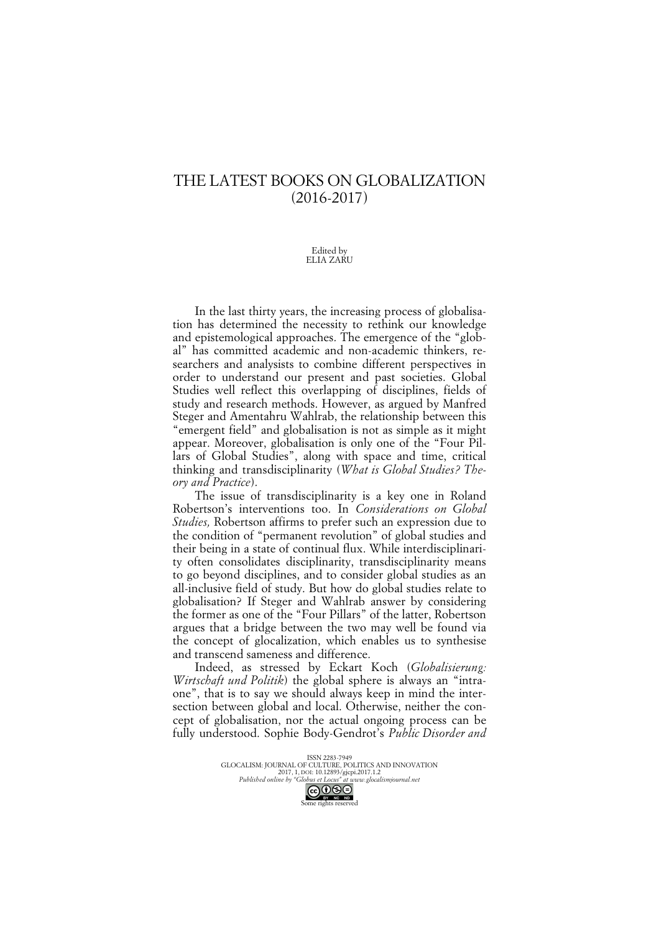## THE LATEST BOOKS ON GLOBALIZATION (2016-2017)

## Edited by ELIA ZARU

In the last thirty years, the increasing process of globalisation has determined the necessity to rethink our knowledge and epistemological approaches. The emergence of the "global" has committed academic and non-academic thinkers, researchers and analysists to combine different perspectives in order to understand our present and past societies. Global Studies well reflect this overlapping of disciplines, fields of study and research methods. However, as argued by Manfred Steger and Amentahru Wahlrab, the relationship between this "emergent field" and globalisation is not as simple as it might appear. Moreover, globalisation is only one of the "Four Pillars of Global Studies", along with space and time, critical thinking and transdisciplinarity (*What is Global Studies? Theory and Practice*).

The issue of transdisciplinarity is a key one in Roland Robertson's interventions too. In *Considerations on Global Studies,* Robertson affirms to prefer such an expression due to the condition of "permanent revolution" of global studies and their being in a state of continual flux. While interdisciplinarity often consolidates disciplinarity, transdisciplinarity means to go beyond disciplines, and to consider global studies as an all-inclusive field of study. But how do global studies relate to globalisation? If Steger and Wahlrab answer by considering the former as one of the "Four Pillars" of the latter, Robertson argues that a bridge between the two may well be found via the concept of glocalization, which enables us to synthesise and transcend sameness and difference.

Indeed, as stressed by Eckart Koch (*Globalisierung: Wirtschaft und Politik*) the global sphere is always an "intraone", that is to say we should always keep in mind the intersection between global and local. Otherwise, neither the concept of globalisation, nor the actual ongoing process can be fully understood. Sophie Body-Gendrot's *Public Disorder and*

> ISSN 2283-7949<br>GLOCALISM: JOURNAL OF CULTURE, POLITICS AND INNOVATION 2017, 1, DOI: 10.12893/gjcpi.2017.1.2 *Published online by "Globus et Locus" at www.glocalismjournal.net* Some rights reserved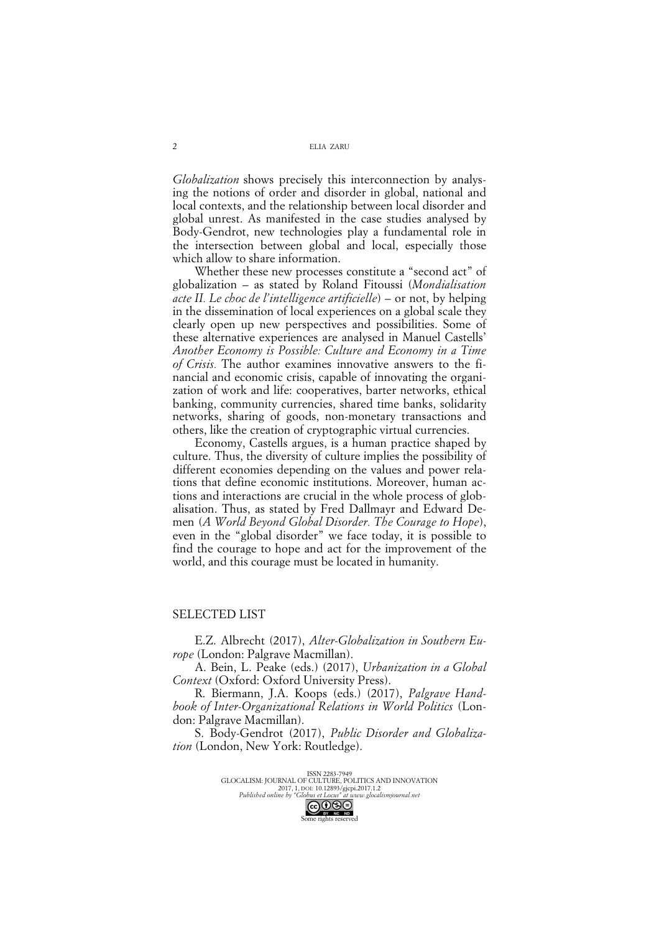*Globalization* shows precisely this interconnection by analysing the notions of order and disorder in global, national and local contexts, and the relationship between local disorder and global unrest. As manifested in the case studies analysed by Body-Gendrot, new technologies play a fundamental role in the intersection between global and local, especially those which allow to share information.

Whether these new processes constitute a "second act" of globalization – as stated by Roland Fitoussi (*Mondialisation acte II. Le choc de l'intelligence artificielle*) – or not, by helping in the dissemination of local experiences on a global scale they clearly open up new perspectives and possibilities. Some of these alternative experiences are analysed in Manuel Castells' *Another Economy is Possible: Culture and Economy in a Time of Crisis.* The author examines innovative answers to the financial and economic crisis, capable of innovating the organization of work and life: cooperatives, barter networks, ethical banking, community currencies, shared time banks, solidarity networks, sharing of goods, non-monetary transactions and others, like the creation of cryptographic virtual currencies.

Economy, Castells argues, is a human practice shaped by culture. Thus, the diversity of culture implies the possibility of different economies depending on the values and power relations that define economic institutions. Moreover, human actions and interactions are crucial in the whole process of globalisation. Thus, as stated by Fred Dallmayr and Edward Demen (*A World Beyond Global Disorder. The Courage to Hope*), even in the "global disorder" we face today, it is possible to find the courage to hope and act for the improvement of the world, and this courage must be located in humanity.

## SELECTED LIST

E.Z. Albrecht (2017), *Alter-Globalization in Southern Europe* (London: Palgrave Macmillan).

A. Bein, L. Peake (eds.) (2017), *Urbanization in a Global Context* (Oxford: Oxford University Press).

R. Biermann, J.A. Koops (eds.) (2017), *Palgrave Handbook of Inter-Organizational Relations in World Politics* (London: Palgrave Macmillan).

S. Body-Gendrot (2017), *Public Disorder and Globalization* (London, New York: Routledge).

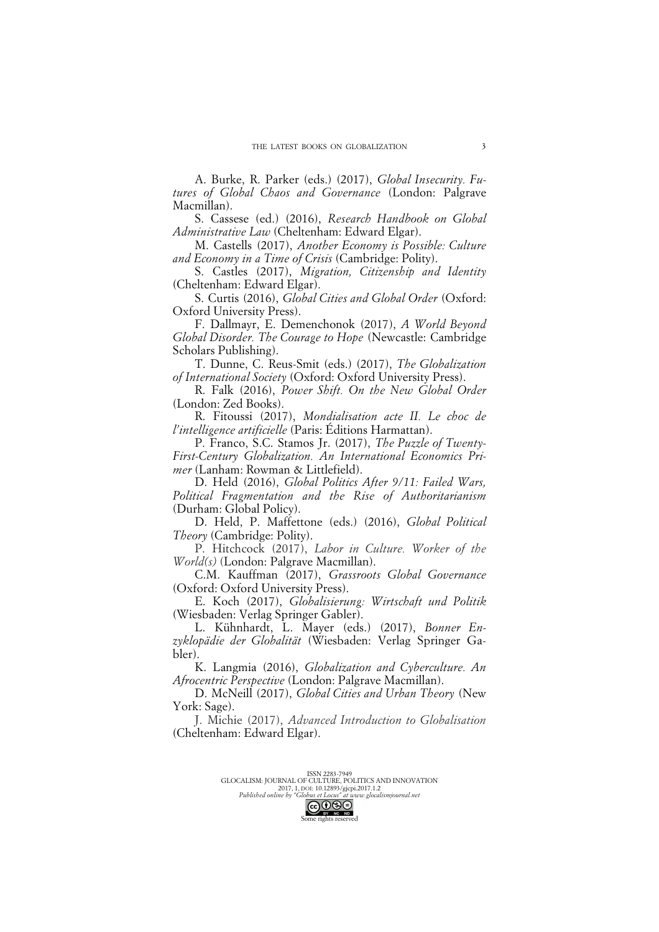A. Burke, R. Parker (eds.) (2017), *Global Insecurity. Futures of Global Chaos and Governance* (London: Palgrave Macmillan).

S. Cassese (ed.) (2016), *Research Handbook on Global Administrative Law* (Cheltenham: Edward Elgar).

M. Castells (2017), *Another Economy is Possible: Culture and Economy in a Time of Crisis* (Cambridge: Polity).

S. Castles (2017), *Migration, Citizenship and Identity* (Cheltenham: Edward Elgar).

S. Curtis (2016), *Global Cities and Global Order* (Oxford: Oxford University Press).

F. Dallmayr, E. Demenchonok (2017), *A World Beyond Global Disorder. The Courage to Hope* (Newcastle: Cambridge Scholars Publishing).

T. Dunne, C. Reus-Smit (eds.) (2017), *The Globalization of International Society* (Oxford: Oxford University Press).

R. Falk (2016), *Power Shift. On the New Global Order* (London: Zed Books).

R. Fitoussi (2017), *Mondialisation acte II. Le choc de l'intelligence artificielle* (Paris: Éditions Harmattan).

P. Franco, S.C. Stamos Jr. (2017), *The Puzzle of Twenty-First-Century Globalization. An International Economics Primer* (Lanham: Rowman & Littlefield).

D. Held (2016), *Global Politics After 9/11: Failed Wars, Political Fragmentation and the Rise of Authoritarianism* (Durham: Global Policy).

D. Held, P. Maffettone (eds.) (2016), *Global Political Theory* (Cambridge: Polity).

P. Hitchcock (2017), *Labor in Culture. Worker of the World(s)* (London: Palgrave Macmillan).

C.M. Kauffman (2017), *Grassroots Global Governance* (Oxford: Oxford University Press).

E. Koch (2017), *Globalisierung: Wirtschaft und Politik* (Wiesbaden: Verlag Springer Gabler).

L. Kühnhardt, L. Mayer (eds.) (2017), *Bonner Enzyklopädie der Globalität* (Wiesbaden: Verlag Springer Gabler).

K. Langmia (2016), *Globalization and Cyberculture. An Afrocentric Perspective* (London: Palgrave Macmillan).

D. McNeill (2017), *Global Cities and Urban Theory* (New York: Sage).

J. Michie (2017), *Advanced Introduction to Globalisation* (Cheltenham: Edward Elgar).